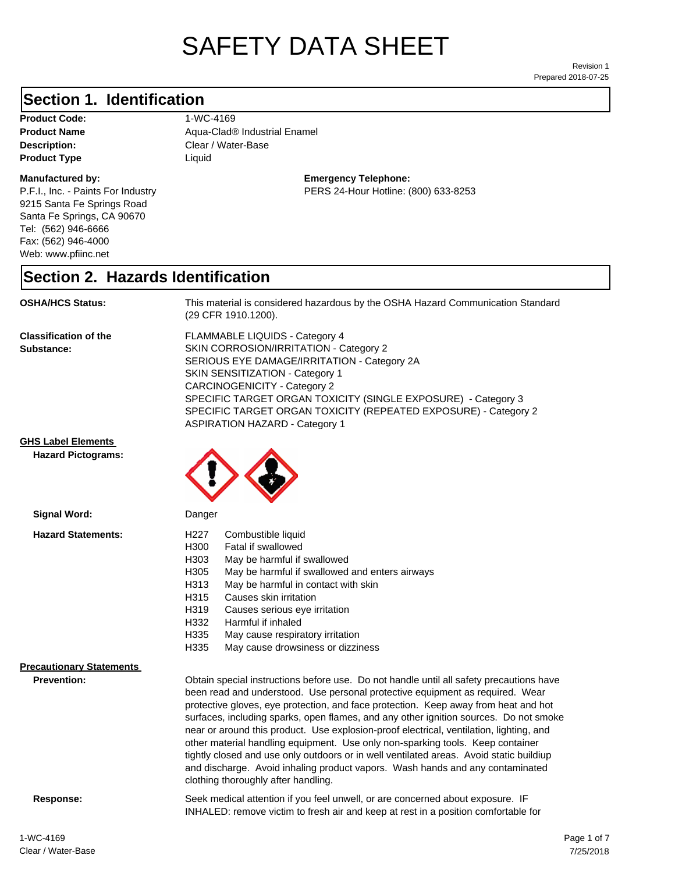# SAFETY DATA SHEET

Prepared 2018-07-25 Revision 1

### **Section 1. Identification**

**Product Code:** 1-WC-4169 **Product Type Liquid Liquid** 

#### **Manufactured by:**

P.F.I., Inc. - Paints For Industry 9215 Santa Fe Springs Road Santa Fe Springs, CA 90670 Tel: (562) 946-6666 Fax: (562) 946-4000 Web: www.pfiinc.net

**Description:** Clear / Water-Base **Product Name** Aqua-Clad® Industrial Enamel

> **Emergency Telephone:** PERS 24-Hour Hotline: (800) 633-8253

#### **Section 2. Hazards Identification**

#### **OSHA/HCS Status:** This material is considered hazardous by the OSHA Hazard Communication Standard

**Classification of the Substance:**

FLAMMABLE LIQUIDS - Category 4 SKIN CORROSION/IRRITATION - Category 2 SERIOUS EYE DAMAGE/IRRITATION - Category 2A SKIN SENSITIZATION - Category 1 CARCINOGENICITY - Category 2 SPECIFIC TARGET ORGAN TOXICITY (SINGLE EXPOSURE) - Category 3 SPECIFIC TARGET ORGAN TOXICITY (REPEATED EXPOSURE) - Category 2 ASPIRATION HAZARD - Category 1

**GHS Label Elements**

**Signal Word:**

**Hazard Pictograms:**



(29 CFR 1910.1200).

Danger

| olgular molan                                         | pangon                                                                                                                                                                                                                                                                                                                                                                                                                                                                                                                                                                                                                                                                                                            |
|-------------------------------------------------------|-------------------------------------------------------------------------------------------------------------------------------------------------------------------------------------------------------------------------------------------------------------------------------------------------------------------------------------------------------------------------------------------------------------------------------------------------------------------------------------------------------------------------------------------------------------------------------------------------------------------------------------------------------------------------------------------------------------------|
| <b>Hazard Statements:</b>                             | Combustible liquid<br>H227<br>H300<br>Fatal if swallowed<br>H303<br>May be harmful if swallowed<br>H305<br>May be harmful if swallowed and enters airways<br>H313<br>May be harmful in contact with skin<br>H315<br>Causes skin irritation<br>H319<br>Causes serious eye irritation<br>H332<br>Harmful if inhaled<br>H335<br>May cause respiratory irritation<br>H335<br>May cause drowsiness or dizziness                                                                                                                                                                                                                                                                                                        |
| <b>Precautionary Statements</b><br><b>Prevention:</b> | Obtain special instructions before use. Do not handle until all safety precautions have<br>been read and understood. Use personal protective equipment as required. Wear<br>protective gloves, eye protection, and face protection. Keep away from heat and hot<br>surfaces, including sparks, open flames, and any other ignition sources. Do not smoke<br>near or around this product. Use explosion-proof electrical, ventilation, lighting, and<br>other material handling equipment. Use only non-sparking tools. Keep container<br>tightly closed and use only outdoors or in well ventilated areas. Avoid static buildiup<br>and discharge. Avoid inhaling product vapors. Wash hands and any contaminated |

clothing thoroughly after handling.

**Response:** Seek medical attention if you feel unwell, or are concerned about exposure. IF INHALED: remove victim to fresh air and keep at rest in a position comfortable for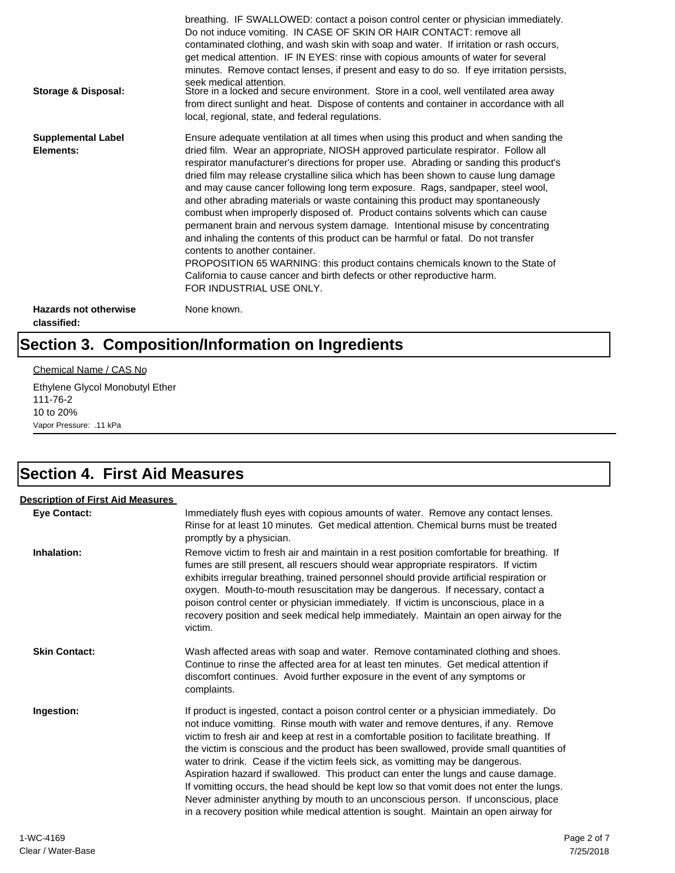| Storage & Disposal:                         | breathing. IF SWALLOWED: contact a poison control center or physician immediately.<br>Do not induce vomiting. IN CASE OF SKIN OR HAIR CONTACT: remove all<br>contaminated clothing, and wash skin with soap and water. If irritation or rash occurs,<br>get medical attention. IF IN EYES: rinse with copious amounts of water for several<br>minutes. Remove contact lenses, if present and easy to do so. If eye irritation persists,<br>seek medical attention.<br>Store in a locked and secure environment. Store in a cool, well ventilated area away<br>from direct sunlight and heat. Dispose of contents and container in accordance with all<br>local, regional, state, and federal regulations.                                                                                                                                                                                                                                                                                                                |
|---------------------------------------------|--------------------------------------------------------------------------------------------------------------------------------------------------------------------------------------------------------------------------------------------------------------------------------------------------------------------------------------------------------------------------------------------------------------------------------------------------------------------------------------------------------------------------------------------------------------------------------------------------------------------------------------------------------------------------------------------------------------------------------------------------------------------------------------------------------------------------------------------------------------------------------------------------------------------------------------------------------------------------------------------------------------------------|
| <b>Supplemental Label</b><br>Elements:      | Ensure adequate ventilation at all times when using this product and when sanding the<br>dried film. Wear an appropriate, NIOSH approved particulate respirator. Follow all<br>respirator manufacturer's directions for proper use. Abrading or sanding this product's<br>dried film may release crystalline silica which has been shown to cause lung damage<br>and may cause cancer following long term exposure. Rags, sandpaper, steel wool,<br>and other abrading materials or waste containing this product may spontaneously<br>combust when improperly disposed of. Product contains solvents which can cause<br>permanent brain and nervous system damage. Intentional misuse by concentrating<br>and inhaling the contents of this product can be harmful or fatal. Do not transfer<br>contents to another container.<br>PROPOSITION 65 WARNING: this product contains chemicals known to the State of<br>California to cause cancer and birth defects or other reproductive harm.<br>FOR INDUSTRIAL USE ONLY. |
| <b>Hazards not otherwise</b><br>classified: | None known.                                                                                                                                                                                                                                                                                                                                                                                                                                                                                                                                                                                                                                                                                                                                                                                                                                                                                                                                                                                                              |

# **Section 3. Composition/Information on Ingredients**

#### Chemical Name / CAS No

Ethylene Glycol Monobutyl Ether 111-76-2 10 to 20% Vapor Pressure: .11 kPa

# **Section 4. First Aid Measures**

| <b>Description of First Aid Measures</b> |                                                                                                                                                                                                                                                                                                                                                                                                                                                                                                                                                                                                                                                                                                                                                                                                                        |
|------------------------------------------|------------------------------------------------------------------------------------------------------------------------------------------------------------------------------------------------------------------------------------------------------------------------------------------------------------------------------------------------------------------------------------------------------------------------------------------------------------------------------------------------------------------------------------------------------------------------------------------------------------------------------------------------------------------------------------------------------------------------------------------------------------------------------------------------------------------------|
| <b>Eye Contact:</b>                      | Immediately flush eyes with copious amounts of water. Remove any contact lenses.<br>Rinse for at least 10 minutes. Get medical attention. Chemical burns must be treated<br>promptly by a physician.                                                                                                                                                                                                                                                                                                                                                                                                                                                                                                                                                                                                                   |
| Inhalation:                              | Remove victim to fresh air and maintain in a rest position comfortable for breathing. If<br>fumes are still present, all rescuers should wear appropriate respirators. If victim<br>exhibits irregular breathing, trained personnel should provide artificial respiration or<br>oxygen. Mouth-to-mouth resuscitation may be dangerous. If necessary, contact a<br>poison control center or physician immediately. If victim is unconscious, place in a<br>recovery position and seek medical help immediately. Maintain an open airway for the<br>victim.                                                                                                                                                                                                                                                              |
| <b>Skin Contact:</b>                     | Wash affected areas with soap and water. Remove contaminated clothing and shoes.<br>Continue to rinse the affected area for at least ten minutes. Get medical attention if<br>discomfort continues. Avoid further exposure in the event of any symptoms or<br>complaints.                                                                                                                                                                                                                                                                                                                                                                                                                                                                                                                                              |
| Ingestion:                               | If product is ingested, contact a poison control center or a physician immediately. Do<br>not induce vomitting. Rinse mouth with water and remove dentures, if any. Remove<br>victim to fresh air and keep at rest in a comfortable position to facilitate breathing. If<br>the victim is conscious and the product has been swallowed, provide small quantities of<br>water to drink. Cease if the victim feels sick, as vomitting may be dangerous.<br>Aspiration hazard if swallowed. This product can enter the lungs and cause damage.<br>If vomitting occurs, the head should be kept low so that vomit does not enter the lungs.<br>Never administer anything by mouth to an unconscious person. If unconscious, place<br>in a recovery position while medical attention is sought. Maintain an open airway for |
| 1.110112102                              |                                                                                                                                                                                                                                                                                                                                                                                                                                                                                                                                                                                                                                                                                                                                                                                                                        |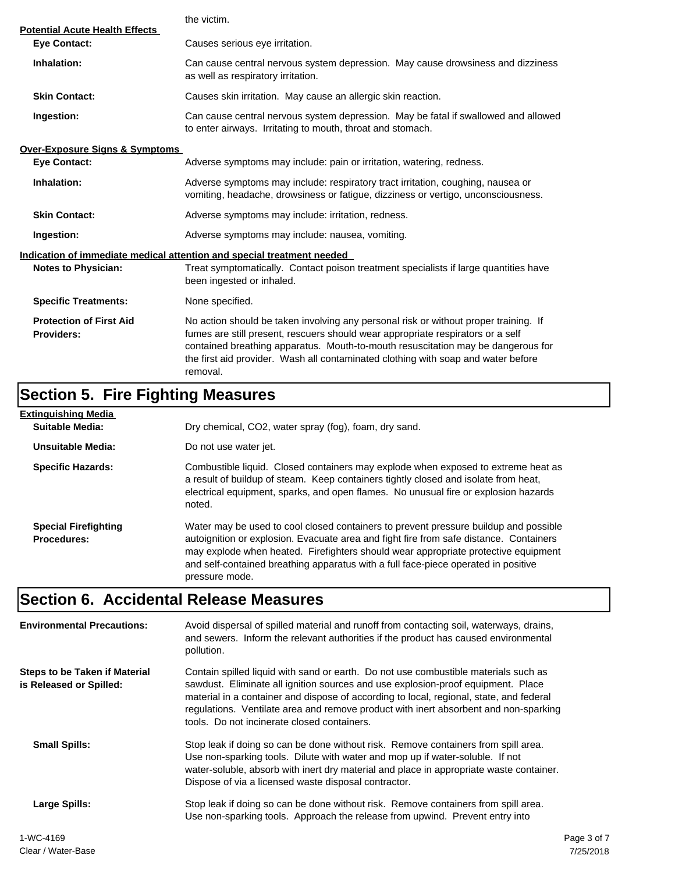|                                                              | the victim.                                                                                                                                                                                                                                                                                                                                                  |  |  |
|--------------------------------------------------------------|--------------------------------------------------------------------------------------------------------------------------------------------------------------------------------------------------------------------------------------------------------------------------------------------------------------------------------------------------------------|--|--|
| <b>Potential Acute Health Effects</b><br><b>Eye Contact:</b> | Causes serious eye irritation.                                                                                                                                                                                                                                                                                                                               |  |  |
| Inhalation:                                                  | Can cause central nervous system depression. May cause drowsiness and dizziness<br>as well as respiratory irritation.                                                                                                                                                                                                                                        |  |  |
| <b>Skin Contact:</b>                                         | Causes skin irritation. May cause an allergic skin reaction.                                                                                                                                                                                                                                                                                                 |  |  |
| Ingestion:                                                   | Can cause central nervous system depression. May be fatal if swallowed and allowed<br>to enter airways. Irritating to mouth, throat and stomach.                                                                                                                                                                                                             |  |  |
| <b>Over-Exposure Signs &amp; Symptoms</b>                    |                                                                                                                                                                                                                                                                                                                                                              |  |  |
| <b>Eye Contact:</b>                                          | Adverse symptoms may include: pain or irritation, watering, redness.                                                                                                                                                                                                                                                                                         |  |  |
| Inhalation:                                                  | Adverse symptoms may include: respiratory tract irritation, coughing, nausea or<br>vomiting, headache, drowsiness or fatigue, dizziness or vertigo, unconsciousness.                                                                                                                                                                                         |  |  |
| <b>Skin Contact:</b>                                         | Adverse symptoms may include: irritation, redness.                                                                                                                                                                                                                                                                                                           |  |  |
| Ingestion:                                                   | Adverse symptoms may include: nausea, vomiting.                                                                                                                                                                                                                                                                                                              |  |  |
|                                                              | Indication of immediate medical attention and special treatment needed                                                                                                                                                                                                                                                                                       |  |  |
| <b>Notes to Physician:</b>                                   | Treat symptomatically. Contact poison treatment specialists if large quantities have<br>been ingested or inhaled.                                                                                                                                                                                                                                            |  |  |
| <b>Specific Treatments:</b>                                  | None specified.                                                                                                                                                                                                                                                                                                                                              |  |  |
| <b>Protection of First Aid</b><br><b>Providers:</b>          | No action should be taken involving any personal risk or without proper training. If<br>fumes are still present, rescuers should wear appropriate respirators or a self<br>contained breathing apparatus. Mouth-to-mouth resuscitation may be dangerous for<br>the first aid provider. Wash all contaminated clothing with soap and water before<br>removal. |  |  |

# **Section 5. Fire Fighting Measures**

| Extinguishing Media                               |                                                                                                                                                                                                                                                                                                                                                                              |
|---------------------------------------------------|------------------------------------------------------------------------------------------------------------------------------------------------------------------------------------------------------------------------------------------------------------------------------------------------------------------------------------------------------------------------------|
| Suitable Media:                                   | Dry chemical, CO2, water spray (fog), foam, dry sand.                                                                                                                                                                                                                                                                                                                        |
| Unsuitable Media:                                 | Do not use water jet.                                                                                                                                                                                                                                                                                                                                                        |
| <b>Specific Hazards:</b>                          | Combustible liquid. Closed containers may explode when exposed to extreme heat as<br>a result of buildup of steam. Keep containers tightly closed and isolate from heat,<br>electrical equipment, sparks, and open flames. No unusual fire or explosion hazards<br>noted.                                                                                                    |
| <b>Special Firefighting</b><br><b>Procedures:</b> | Water may be used to cool closed containers to prevent pressure buildup and possible<br>autoignition or explosion. Evacuate area and fight fire from safe distance. Containers<br>may explode when heated. Firefighters should wear appropriate protective equipment<br>and self-contained breathing apparatus with a full face-piece operated in positive<br>pressure mode. |

# **Section 6. Accidental Release Measures**

| <b>Environmental Precautions:</b>                        | Avoid dispersal of spilled material and runoff from contacting soil, waterways, drains,<br>and sewers. Inform the relevant authorities if the product has caused environmental<br>pollution.                                                                                                                                                                                                              |             |
|----------------------------------------------------------|-----------------------------------------------------------------------------------------------------------------------------------------------------------------------------------------------------------------------------------------------------------------------------------------------------------------------------------------------------------------------------------------------------------|-------------|
| Steps to be Taken if Material<br>is Released or Spilled: | Contain spilled liquid with sand or earth. Do not use combustible materials such as<br>sawdust. Eliminate all ignition sources and use explosion-proof equipment. Place<br>material in a container and dispose of according to local, regional, state, and federal<br>regulations. Ventilate area and remove product with inert absorbent and non-sparking<br>tools. Do not incinerate closed containers. |             |
| <b>Small Spills:</b>                                     | Stop leak if doing so can be done without risk. Remove containers from spill area.<br>Use non-sparking tools. Dilute with water and mop up if water-soluble. If not<br>water-soluble, absorb with inert dry material and place in appropriate waste container.<br>Dispose of via a licensed waste disposal contractor.                                                                                    |             |
| Large Spills:                                            | Stop leak if doing so can be done without risk. Remove containers from spill area.<br>Use non-sparking tools. Approach the release from upwind. Prevent entry into                                                                                                                                                                                                                                        |             |
| 1-WC-4169                                                |                                                                                                                                                                                                                                                                                                                                                                                                           | Page 3 of 7 |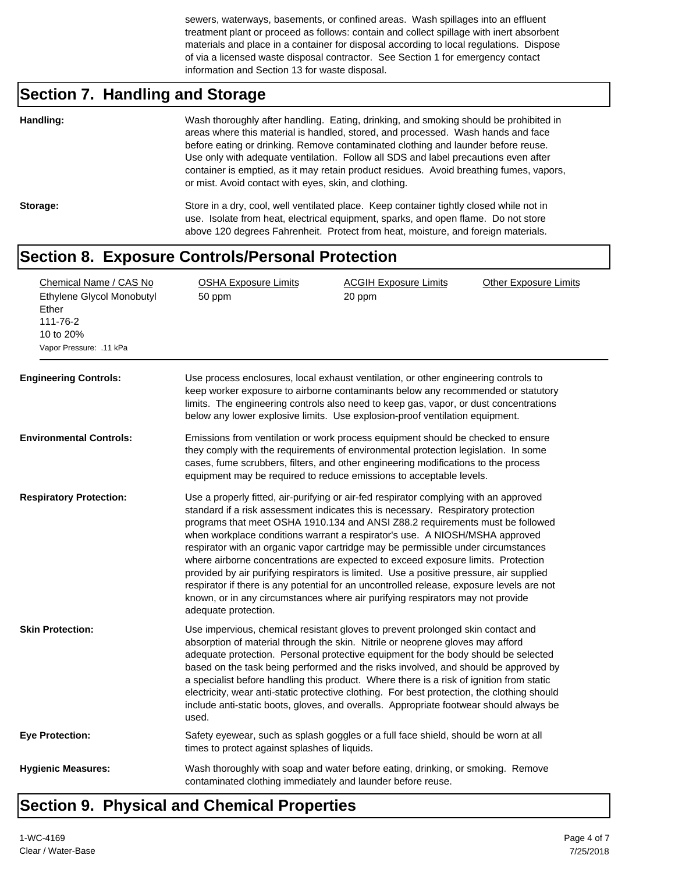sewers, waterways, basements, or confined areas. Wash spillages into an effluent treatment plant or proceed as follows: contain and collect spillage with inert absorbent materials and place in a container for disposal according to local regulations. Dispose of via a licensed waste disposal contractor. See Section 1 for emergency contact information and Section 13 for waste disposal.

### **Section 7. Handling and Storage**

| Handling: | Wash thoroughly after handling. Eating, drinking, and smoking should be prohibited in<br>areas where this material is handled, stored, and processed. Wash hands and face<br>before eating or drinking. Remove contaminated clothing and launder before reuse.<br>Use only with adequate ventilation. Follow all SDS and label precautions even after<br>container is emptied, as it may retain product residues. Avoid breathing fumes, vapors,<br>or mist. Avoid contact with eyes, skin, and clothing. |
|-----------|-----------------------------------------------------------------------------------------------------------------------------------------------------------------------------------------------------------------------------------------------------------------------------------------------------------------------------------------------------------------------------------------------------------------------------------------------------------------------------------------------------------|
| Storage:  | Store in a dry, cool, well ventilated place. Keep container tightly closed while not in<br>use. Isolate from heat, electrical equipment, sparks, and open flame. Do not store<br>above 120 degrees Fahrenheit. Protect from heat, moisture, and foreign materials.                                                                                                                                                                                                                                        |

### **Section 8. Exposure Controls/Personal Protection**

| Chemical Name / CAS No<br>Ethylene Glycol Monobutyl<br>Ether<br>111-76-2<br>10 to 20%<br>Vapor Pressure: .11 kPa<br><b>Engineering Controls:</b> | <b>OSHA Exposure Limits</b><br>50 ppm                                                                                                                                                                                                                                                                                               | <b>ACGIH Exposure Limits</b><br>20 ppm<br>Use process enclosures, local exhaust ventilation, or other engineering controls to                                                                                                                                                                                                                                                                                                                                                                                                                                                                                                                                                                                                                                                                 | <b>Other Exposure Limits</b> |  |  |
|--------------------------------------------------------------------------------------------------------------------------------------------------|-------------------------------------------------------------------------------------------------------------------------------------------------------------------------------------------------------------------------------------------------------------------------------------------------------------------------------------|-----------------------------------------------------------------------------------------------------------------------------------------------------------------------------------------------------------------------------------------------------------------------------------------------------------------------------------------------------------------------------------------------------------------------------------------------------------------------------------------------------------------------------------------------------------------------------------------------------------------------------------------------------------------------------------------------------------------------------------------------------------------------------------------------|------------------------------|--|--|
|                                                                                                                                                  | keep worker exposure to airborne contaminants below any recommended or statutory<br>limits. The engineering controls also need to keep gas, vapor, or dust concentrations<br>below any lower explosive limits. Use explosion-proof ventilation equipment.                                                                           |                                                                                                                                                                                                                                                                                                                                                                                                                                                                                                                                                                                                                                                                                                                                                                                               |                              |  |  |
| <b>Environmental Controls:</b>                                                                                                                   | Emissions from ventilation or work process equipment should be checked to ensure<br>they comply with the requirements of environmental protection legislation. In some<br>cases, fume scrubbers, filters, and other engineering modifications to the process<br>equipment may be required to reduce emissions to acceptable levels. |                                                                                                                                                                                                                                                                                                                                                                                                                                                                                                                                                                                                                                                                                                                                                                                               |                              |  |  |
| <b>Respiratory Protection:</b>                                                                                                                   | adequate protection.                                                                                                                                                                                                                                                                                                                | Use a properly fitted, air-purifying or air-fed respirator complying with an approved<br>standard if a risk assessment indicates this is necessary. Respiratory protection<br>programs that meet OSHA 1910.134 and ANSI Z88.2 requirements must be followed<br>when workplace conditions warrant a respirator's use. A NIOSH/MSHA approved<br>respirator with an organic vapor cartridge may be permissible under circumstances<br>where airborne concentrations are expected to exceed exposure limits. Protection<br>provided by air purifying respirators is limited. Use a positive pressure, air supplied<br>respirator if there is any potential for an uncontrolled release, exposure levels are not<br>known, or in any circumstances where air purifying respirators may not provide |                              |  |  |
| <b>Skin Protection:</b>                                                                                                                          | used.                                                                                                                                                                                                                                                                                                                               | Use impervious, chemical resistant gloves to prevent prolonged skin contact and<br>absorption of material through the skin. Nitrile or neoprene gloves may afford<br>adequate protection. Personal protective equipment for the body should be selected<br>based on the task being performed and the risks involved, and should be approved by<br>a specialist before handling this product. Where there is a risk of ignition from static<br>electricity, wear anti-static protective clothing. For best protection, the clothing should<br>include anti-static boots, gloves, and overalls. Appropriate footwear should always be                                                                                                                                                           |                              |  |  |
| <b>Eye Protection:</b>                                                                                                                           | times to protect against splashes of liquids.                                                                                                                                                                                                                                                                                       | Safety eyewear, such as splash goggles or a full face shield, should be worn at all                                                                                                                                                                                                                                                                                                                                                                                                                                                                                                                                                                                                                                                                                                           |                              |  |  |
| <b>Hygienic Measures:</b>                                                                                                                        | contaminated clothing immediately and launder before reuse.                                                                                                                                                                                                                                                                         | Wash thoroughly with soap and water before eating, drinking, or smoking. Remove                                                                                                                                                                                                                                                                                                                                                                                                                                                                                                                                                                                                                                                                                                               |                              |  |  |

### **Section 9. Physical and Chemical Properties**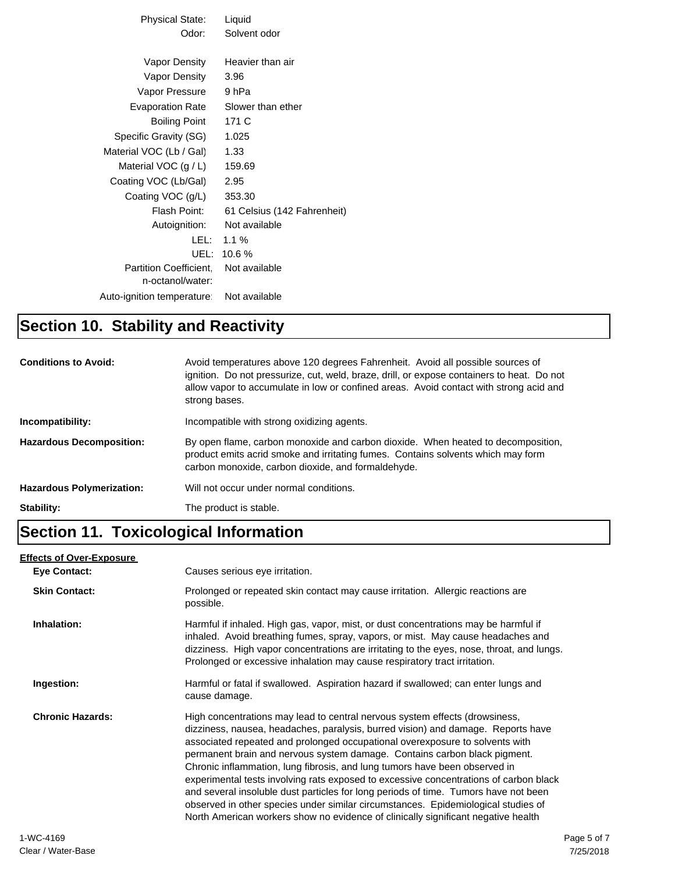| Physical State:                            | Liquid                      |
|--------------------------------------------|-----------------------------|
| Odor:                                      | Solvent odor                |
|                                            |                             |
| Vapor Density                              | Heavier than air            |
| Vapor Density                              | 3.96                        |
| Vapor Pressure                             | 9 hPa                       |
| <b>Evaporation Rate</b>                    | Slower than ether           |
| <b>Boiling Point</b>                       | 171 C                       |
| Specific Gravity (SG)                      | 1.025                       |
| Material VOC (Lb / Gal)                    | 1.33                        |
| Material VOC $(g/L)$                       | 159.69                      |
| Coating VOC (Lb/Gal)                       | 2.95                        |
| Coating VOC (g/L)                          | 353.30                      |
| Flash Point:                               | 61 Celsius (142 Fahrenheit) |
| Autoignition:                              | Not available               |
| LEL: L                                     | 1.1%                        |
| UEL:                                       | 10.6%                       |
| Partition Coefficient.<br>n-octanol/water: | Not available               |
| Auto-ignition temperature                  | Not available               |

#### **Section 10. Stability and Reactivity**

| <b>Conditions to Avoid:</b>      | Avoid temperatures above 120 degrees Fahrenheit. Avoid all possible sources of<br>ignition. Do not pressurize, cut, weld, braze, drill, or expose containers to heat. Do not<br>allow vapor to accumulate in low or confined areas. Avoid contact with strong acid and<br>strong bases. |
|----------------------------------|-----------------------------------------------------------------------------------------------------------------------------------------------------------------------------------------------------------------------------------------------------------------------------------------|
| Incompatibility:                 | Incompatible with strong oxidizing agents.                                                                                                                                                                                                                                              |
| <b>Hazardous Decomposition:</b>  | By open flame, carbon monoxide and carbon dioxide. When heated to decomposition,<br>product emits acrid smoke and irritating fumes. Contains solvents which may form<br>carbon monoxide, carbon dioxide, and formaldehyde.                                                              |
| <b>Hazardous Polymerization:</b> | Will not occur under normal conditions.                                                                                                                                                                                                                                                 |
| Stability:                       | The product is stable.                                                                                                                                                                                                                                                                  |

#### **Section 11. Toxicological Information**

#### **Eye Contact: Skin Contact:** Prolonged or repeated skin contact may cause irritation. Allergic reactions are possible. **Inhalation:** Harmful if inhaled. High gas, vapor, mist, or dust concentrations may be harmful if inhaled. Avoid breathing fumes, spray, vapors, or mist. May cause headaches and dizziness. High vapor concentrations are irritating to the eyes, nose, throat, and lungs. Prolonged or excessive inhalation may cause respiratory tract irritation. **Ingestion:** Harmful or fatal if swallowed. Aspiration hazard if swallowed; can enter lungs and cause damage. **Chronic Hazards:** High concentrations may lead to central nervous system effects (drowsiness, dizziness, nausea, headaches, paralysis, burred vision) and damage. Reports have associated repeated and prolonged occupational overexposure to solvents with permanent brain and nervous system damage. Contains carbon black pigment. Chronic inflammation, lung fibrosis, and lung tumors have been observed in experimental tests involving rats exposed to excessive concentrations of carbon black and several insoluble dust particles for long periods of time. Tumors have not been observed in other species under similar circumstances. Epidemiological studies of North American workers show no evidence of clinically significant negative health **Effects of Over-Exposure** Causes serious eye irritation.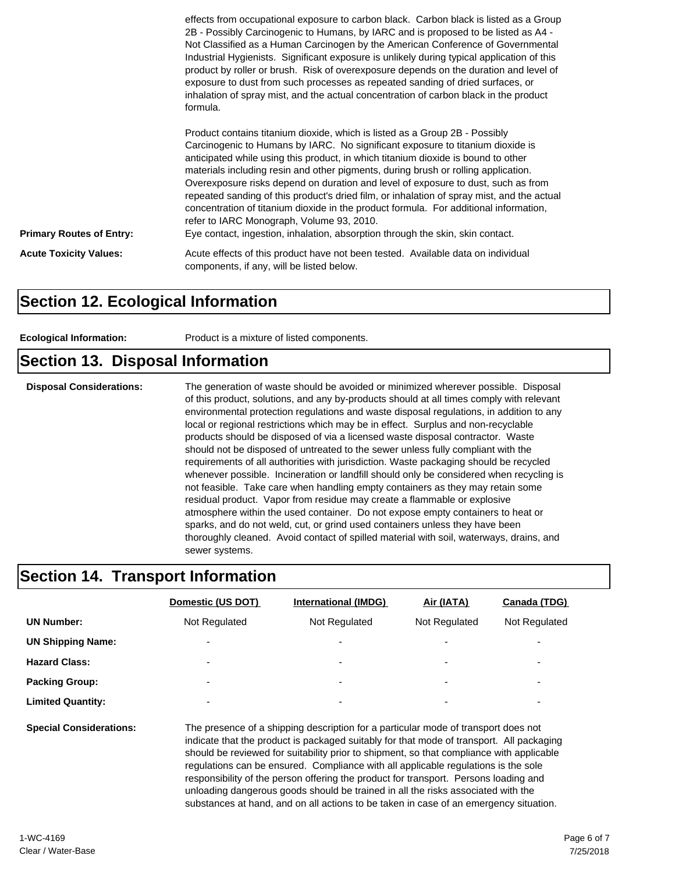|                                 | effects from occupational exposure to carbon black. Carbon black is listed as a Group<br>2B - Possibly Carcinogenic to Humans, by IARC and is proposed to be listed as A4 -<br>Not Classified as a Human Carcinogen by the American Conference of Governmental<br>Industrial Hygienists. Significant exposure is unlikely during typical application of this<br>product by roller or brush. Risk of overexposure depends on the duration and level of<br>exposure to dust from such processes as repeated sanding of dried surfaces, or<br>inhalation of spray mist, and the actual concentration of carbon black in the product<br>formula.                                                                                                        |
|---------------------------------|-----------------------------------------------------------------------------------------------------------------------------------------------------------------------------------------------------------------------------------------------------------------------------------------------------------------------------------------------------------------------------------------------------------------------------------------------------------------------------------------------------------------------------------------------------------------------------------------------------------------------------------------------------------------------------------------------------------------------------------------------------|
| <b>Primary Routes of Entry:</b> | Product contains titanium dioxide, which is listed as a Group 2B - Possibly<br>Carcinogenic to Humans by IARC. No significant exposure to titanium dioxide is<br>anticipated while using this product, in which titanium dioxide is bound to other<br>materials including resin and other pigments, during brush or rolling application.<br>Overexposure risks depend on duration and level of exposure to dust, such as from<br>repeated sanding of this product's dried film, or inhalation of spray mist, and the actual<br>concentration of titanium dioxide in the product formula. For additional information,<br>refer to IARC Monograph, Volume 93, 2010.<br>Eye contact, ingestion, inhalation, absorption through the skin, skin contact. |
| <b>Acute Toxicity Values:</b>   | Acute effects of this product have not been tested. Available data on individual<br>components, if any, will be listed below.                                                                                                                                                                                                                                                                                                                                                                                                                                                                                                                                                                                                                       |

#### **Section 12. Ecological Information**

| Product is a mixture of listed components.<br><b>Ecological Information:</b> |  |
|------------------------------------------------------------------------------|--|
|------------------------------------------------------------------------------|--|

### **Section 13. Disposal Information**

**Disposal Considerations:** The generation of waste should be avoided or minimized wherever possible. Disposal of this product, solutions, and any by-products should at all times comply with relevant environmental protection regulations and waste disposal regulations, in addition to any local or regional restrictions which may be in effect. Surplus and non-recyclable products should be disposed of via a licensed waste disposal contractor. Waste should not be disposed of untreated to the sewer unless fully compliant with the requirements of all authorities with jurisdiction. Waste packaging should be recycled whenever possible. Incineration or landfill should only be considered when recycling is not feasible. Take care when handling empty containers as they may retain some residual product. Vapor from residue may create a flammable or explosive atmosphere within the used container. Do not expose empty containers to heat or sparks, and do not weld, cut, or grind used containers unless they have been thoroughly cleaned. Avoid contact of spilled material with soil, waterways, drains, and sewer systems.

#### **Section 14. Transport Information**

|                          | Domestic (US DOT)        | <b>International (IMDG)</b> | Air (IATA)               | Canada (TDG)             |
|--------------------------|--------------------------|-----------------------------|--------------------------|--------------------------|
| <b>UN Number:</b>        | Not Regulated            | Not Regulated               | Not Regulated            | Not Regulated            |
| <b>UN Shipping Name:</b> | $\overline{\phantom{0}}$ | $\overline{\phantom{0}}$    | $\overline{\phantom{a}}$ |                          |
| <b>Hazard Class:</b>     | $\overline{\phantom{0}}$ | ۰                           | $\overline{\phantom{a}}$ | $\overline{\phantom{0}}$ |
| <b>Packing Group:</b>    | $\blacksquare$           | $\overline{\phantom{a}}$    | $\overline{\phantom{a}}$ | $\overline{\phantom{a}}$ |
| <b>Limited Quantity:</b> | $\overline{\phantom{0}}$ | ۰                           | $\overline{\phantom{a}}$ |                          |
|                          |                          |                             |                          |                          |

**Special Considerations:** The presence of a shipping description for a particular mode of transport does not indicate that the product is packaged suitably for that mode of transport. All packaging should be reviewed for suitability prior to shipment, so that compliance with applicable regulations can be ensured. Compliance with all applicable regulations is the sole responsibility of the person offering the product for transport. Persons loading and unloading dangerous goods should be trained in all the risks associated with the substances at hand, and on all actions to be taken in case of an emergency situation.